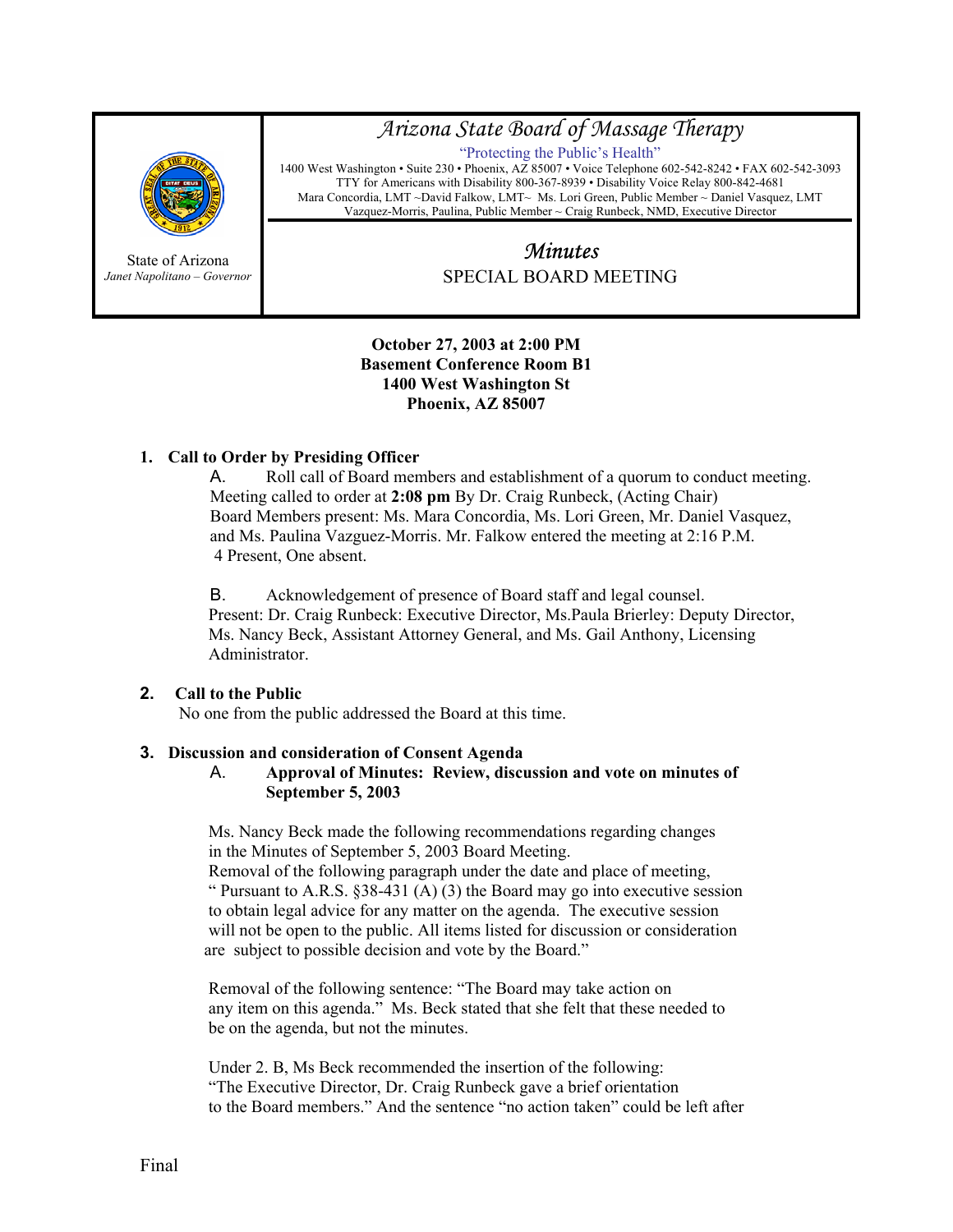

State of Arizona *Janet Napolitano – Governor*

## *Arizona State Board of Massage Therapy*

"Protecting the Public's Health" 1400 West Washington • Suite 230 • Phoenix, AZ 85007 • Voice Telephone 602-542-8242 • FAX 602-542-3093 TTY for Americans with Disability 800-367-8939 • Disability Voice Relay 800-842-4681 Mara Concordia, LMT ~David Falkow, LMT~ Ms. Lori Green, Public Member ~ Daniel Vasquez, LMT Vazquez-Morris, Paulina, Public Member ~ Craig Runbeck, NMD, Executive Director

# *Minutes*  SPECIAL BOARD MEETING

#### **October 27, 2003 at 2:00 PM Basement Conference Room B1 1400 West Washington St Phoenix, AZ 85007**

## **1. Call to Order by Presiding Officer**

A. Roll call of Board members and establishment of a quorum to conduct meeting. Meeting called to order at **2:08 pm** By Dr. Craig Runbeck, (Acting Chair) Board Members present: Ms. Mara Concordia, Ms. Lori Green, Mr. Daniel Vasquez, and Ms. Paulina Vazguez-Morris. Mr. Falkow entered the meeting at 2:16 P.M. 4 Present, One absent.

B. Acknowledgement of presence of Board staff and legal counsel. Present: Dr. Craig Runbeck: Executive Director, Ms.Paula Brierley: Deputy Director, Ms. Nancy Beck, Assistant Attorney General, and Ms. Gail Anthony, Licensing Administrator.

## **2. Call to the Public**

No one from the public addressed the Board at this time.

#### **3. Discussion and consideration of Consent Agenda**

#### A. **Approval of Minutes: Review, discussion and vote on minutes of September 5, 2003**

 Ms. Nancy Beck made the following recommendations regarding changes in the Minutes of September 5, 2003 Board Meeting.

 Removal of the following paragraph under the date and place of meeting, " Pursuant to A.R.S.  $§ 38-431$  (A) (3) the Board may go into executive session to obtain legal advice for any matter on the agenda. The executive session will not be open to the public. All items listed for discussion or consideration are subject to possible decision and vote by the Board."

 Removal of the following sentence: "The Board may take action on any item on this agenda." Ms. Beck stated that she felt that these needed to be on the agenda, but not the minutes.

 Under 2. B, Ms Beck recommended the insertion of the following: "The Executive Director, Dr. Craig Runbeck gave a brief orientation to the Board members." And the sentence "no action taken" could be left after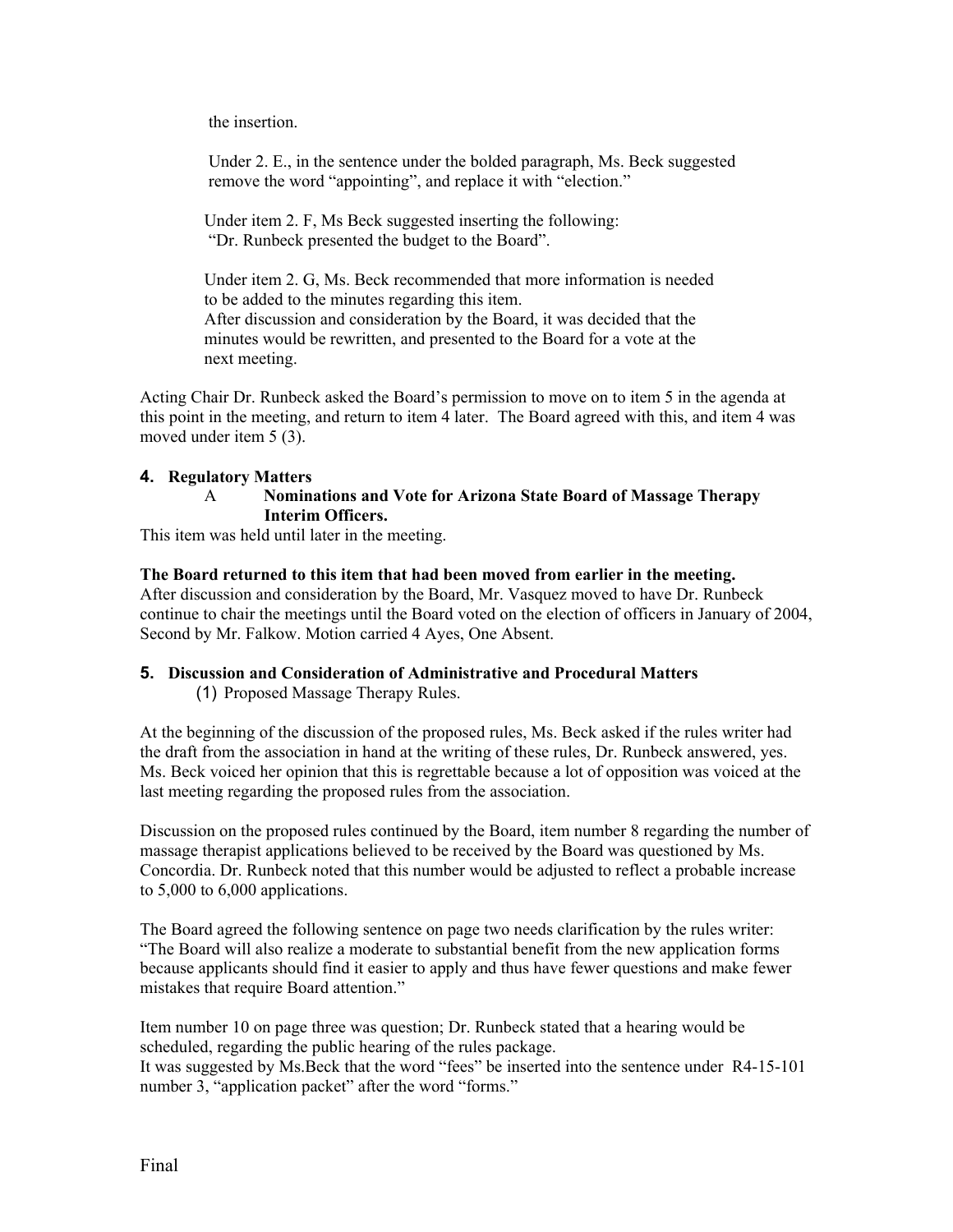the insertion.

 Under 2. E., in the sentence under the bolded paragraph, Ms. Beck suggested remove the word "appointing", and replace it with "election."

 Under item 2. F, Ms Beck suggested inserting the following: "Dr. Runbeck presented the budget to the Board".

 Under item 2. G, Ms. Beck recommended that more information is needed to be added to the minutes regarding this item. After discussion and consideration by the Board, it was decided that the minutes would be rewritten, and presented to the Board for a vote at the next meeting.

Acting Chair Dr. Runbeck asked the Board's permission to move on to item 5 in the agenda at this point in the meeting, and return to item 4 later. The Board agreed with this, and item 4 was moved under item 5 (3).

#### **4. Regulatory Matters**

#### A **Nominations and Vote for Arizona State Board of Massage Therapy Interim Officers.**

This item was held until later in the meeting.

#### **The Board returned to this item that had been moved from earlier in the meeting.**

After discussion and consideration by the Board, Mr. Vasquez moved to have Dr. Runbeck continue to chair the meetings until the Board voted on the election of officers in January of 2004, Second by Mr. Falkow. Motion carried 4 Ayes, One Absent.

#### **5. Discussion and Consideration of Administrative and Procedural Matters**

(1) Proposed Massage Therapy Rules.

At the beginning of the discussion of the proposed rules, Ms. Beck asked if the rules writer had the draft from the association in hand at the writing of these rules, Dr. Runbeck answered, yes. Ms. Beck voiced her opinion that this is regrettable because a lot of opposition was voiced at the last meeting regarding the proposed rules from the association.

Discussion on the proposed rules continued by the Board, item number 8 regarding the number of massage therapist applications believed to be received by the Board was questioned by Ms. Concordia. Dr. Runbeck noted that this number would be adjusted to reflect a probable increase to 5,000 to 6,000 applications.

The Board agreed the following sentence on page two needs clarification by the rules writer: "The Board will also realize a moderate to substantial benefit from the new application forms because applicants should find it easier to apply and thus have fewer questions and make fewer mistakes that require Board attention."

Item number 10 on page three was question; Dr. Runbeck stated that a hearing would be scheduled, regarding the public hearing of the rules package. It was suggested by Ms.Beck that the word "fees" be inserted into the sentence under R4-15-101

number 3, "application packet" after the word "forms."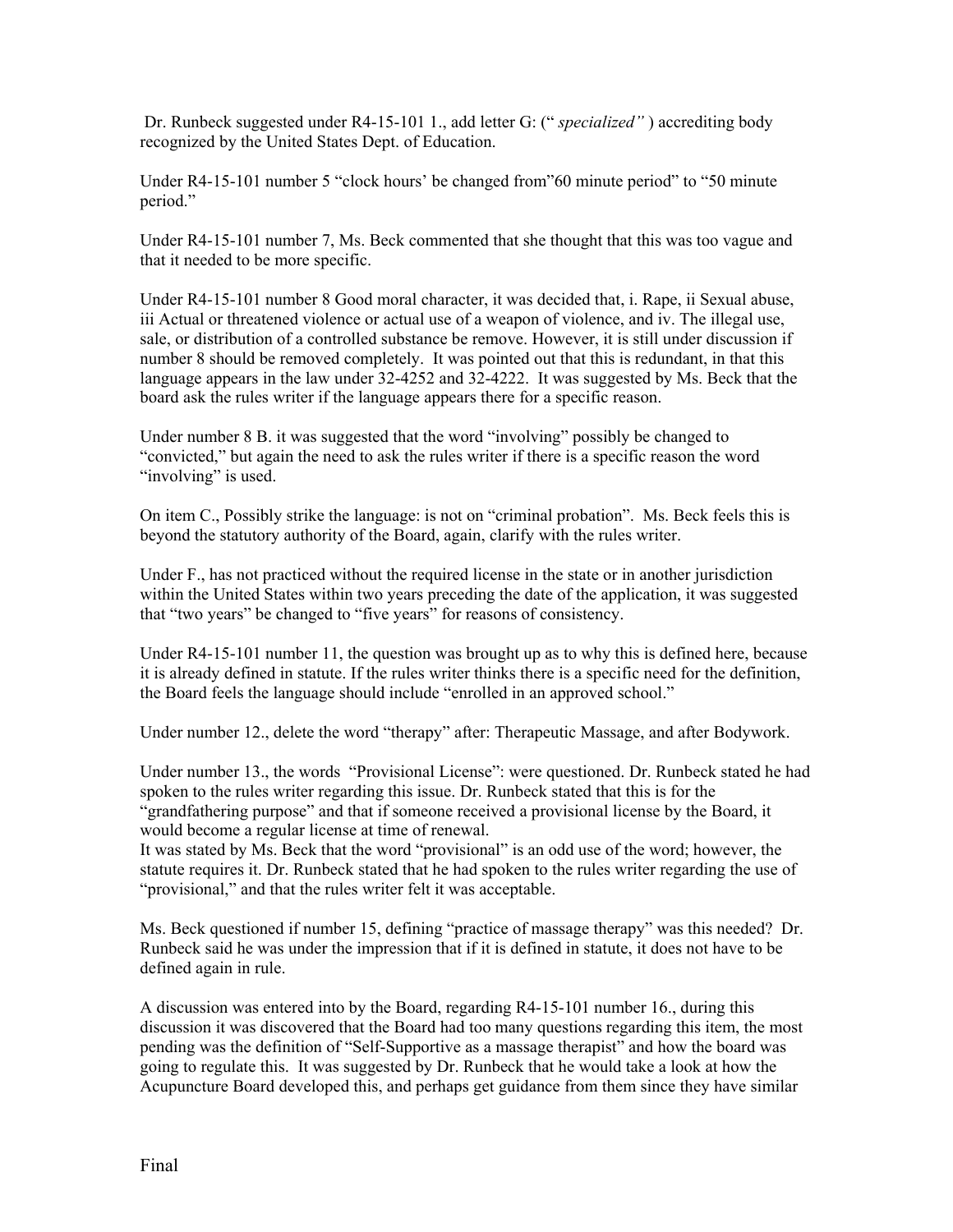Dr. Runbeck suggested under R4-15-101 1., add letter G: (" *specialized"* ) accrediting body recognized by the United States Dept. of Education.

Under R4-15-101 number 5 "clock hours' be changed from"60 minute period" to "50 minute period."

Under R4-15-101 number 7, Ms. Beck commented that she thought that this was too vague and that it needed to be more specific.

Under R4-15-101 number 8 Good moral character, it was decided that, i. Rape, ii Sexual abuse, iii Actual or threatened violence or actual use of a weapon of violence, and iv. The illegal use, sale, or distribution of a controlled substance be remove. However, it is still under discussion if number 8 should be removed completely. It was pointed out that this is redundant, in that this language appears in the law under 32-4252 and 32-4222. It was suggested by Ms. Beck that the board ask the rules writer if the language appears there for a specific reason.

Under number 8 B. it was suggested that the word "involving" possibly be changed to "convicted," but again the need to ask the rules writer if there is a specific reason the word "involving" is used.

On item C., Possibly strike the language: is not on "criminal probation". Ms. Beck feels this is beyond the statutory authority of the Board, again, clarify with the rules writer.

Under F., has not practiced without the required license in the state or in another jurisdiction within the United States within two years preceding the date of the application, it was suggested that "two years" be changed to "five years" for reasons of consistency.

Under R4-15-101 number 11, the question was brought up as to why this is defined here, because it is already defined in statute. If the rules writer thinks there is a specific need for the definition, the Board feels the language should include "enrolled in an approved school."

Under number 12., delete the word "therapy" after: Therapeutic Massage, and after Bodywork.

Under number 13., the words "Provisional License": were questioned. Dr. Runbeck stated he had spoken to the rules writer regarding this issue. Dr. Runbeck stated that this is for the "grandfathering purpose" and that if someone received a provisional license by the Board, it would become a regular license at time of renewal.

It was stated by Ms. Beck that the word "provisional" is an odd use of the word; however, the statute requires it. Dr. Runbeck stated that he had spoken to the rules writer regarding the use of "provisional," and that the rules writer felt it was acceptable.

Ms. Beck questioned if number 15, defining "practice of massage therapy" was this needed? Dr. Runbeck said he was under the impression that if it is defined in statute, it does not have to be defined again in rule.

A discussion was entered into by the Board, regarding R4-15-101 number 16., during this discussion it was discovered that the Board had too many questions regarding this item, the most pending was the definition of "Self-Supportive as a massage therapist" and how the board was going to regulate this. It was suggested by Dr. Runbeck that he would take a look at how the Acupuncture Board developed this, and perhaps get guidance from them since they have similar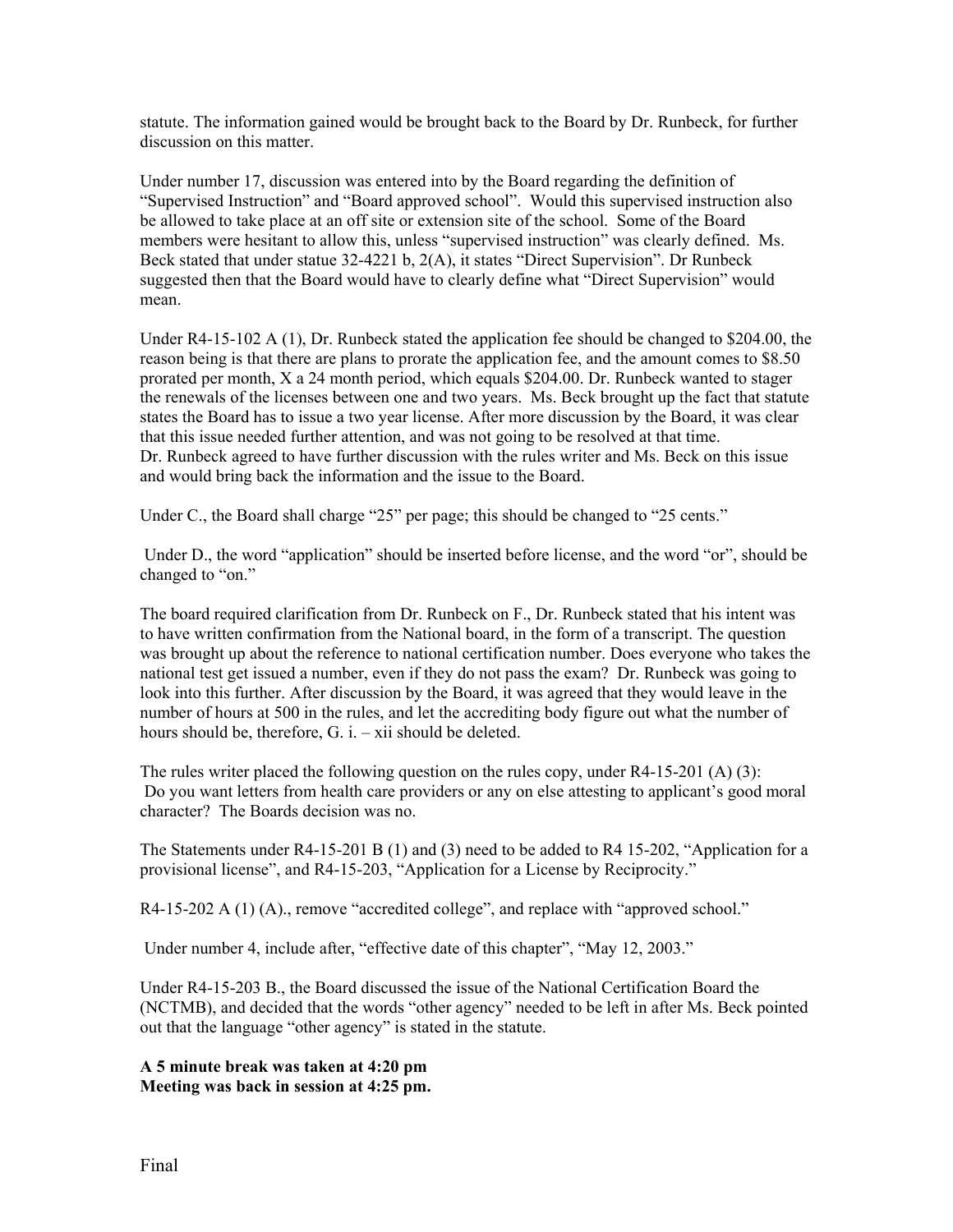statute. The information gained would be brought back to the Board by Dr. Runbeck, for further discussion on this matter.

Under number 17, discussion was entered into by the Board regarding the definition of "Supervised Instruction" and "Board approved school". Would this supervised instruction also be allowed to take place at an off site or extension site of the school. Some of the Board members were hesitant to allow this, unless "supervised instruction" was clearly defined. Ms. Beck stated that under statue 32-4221 b, 2(A), it states "Direct Supervision". Dr Runbeck suggested then that the Board would have to clearly define what "Direct Supervision" would mean.

Under R4-15-102 A (1), Dr. Runbeck stated the application fee should be changed to \$204.00, the reason being is that there are plans to prorate the application fee, and the amount comes to \$8.50 prorated per month, X a 24 month period, which equals \$204.00. Dr. Runbeck wanted to stager the renewals of the licenses between one and two years. Ms. Beck brought up the fact that statute states the Board has to issue a two year license. After more discussion by the Board, it was clear that this issue needed further attention, and was not going to be resolved at that time. Dr. Runbeck agreed to have further discussion with the rules writer and Ms. Beck on this issue and would bring back the information and the issue to the Board.

Under C., the Board shall charge "25" per page; this should be changed to "25 cents."

 Under D., the word "application" should be inserted before license, and the word "or", should be changed to "on."

The board required clarification from Dr. Runbeck on F., Dr. Runbeck stated that his intent was to have written confirmation from the National board, in the form of a transcript. The question was brought up about the reference to national certification number. Does everyone who takes the national test get issued a number, even if they do not pass the exam? Dr. Runbeck was going to look into this further. After discussion by the Board, it was agreed that they would leave in the number of hours at 500 in the rules, and let the accrediting body figure out what the number of hours should be, therefore, G. i. – xii should be deleted.

The rules writer placed the following question on the rules copy, under  $R4-15-201$  (A) (3): Do you want letters from health care providers or any on else attesting to applicant's good moral character? The Boards decision was no.

The Statements under R4-15-201 B (1) and (3) need to be added to R4 15-202, "Application for a provisional license", and R4-15-203, "Application for a License by Reciprocity."

R4-15-202 A (1) (A)., remove "accredited college", and replace with "approved school."

Under number 4, include after, "effective date of this chapter", "May 12, 2003."

Under R4-15-203 B., the Board discussed the issue of the National Certification Board the (NCTMB), and decided that the words "other agency" needed to be left in after Ms. Beck pointed out that the language "other agency" is stated in the statute.

**A 5 minute break was taken at 4:20 pm Meeting was back in session at 4:25 pm.**